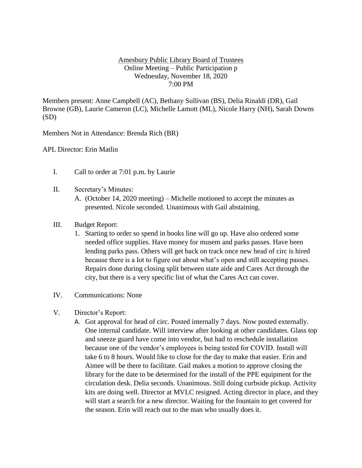## Amesbury Public Library Board of Trustees Online Meeting – Public Participation p Wednesday, November 18, 2020 7:00 PM

Members present: Anne Campbell (AC), Bethany Sullivan (BS), Delia Rinaldi (DR), Gail Browne (GB), Laurie Cameron (LC), Michelle Lamott (ML), Nicole Harry (NH), Sarah Downs (SD)

Members Not in Attendance: Brenda Rich (BR)

APL Director: Erin Matlin

- I. Call to order at 7:01 p.m. by Laurie
- II. Secretary's Minutes:
	- A. (October 14, 2020 meeting) Michelle motioned to accept the minutes as presented. Nicole seconded. Unanimous with Gail abstaining.
- III. Budget Report:
	- 1. Starting to order so spend in books line will go up. Have also ordered some needed office supplies. Have money for musem and parks passes. Have been lending parks pass. Others will get back on track once new head of circ is hired because there is a lot to figure out about what's open and still accepting passes. Repairs done during closing split between state aide and Cares Act through the city, but there is a very specific list of what the Cares Act can cover.
- IV. Communications: None
- V. Director's Report:
	- A. Got approval for head of circ. Posted internally 7 days. Now posted externally. One internal candidate. Will interview after looking at other candidates. Glass top and sneeze guard have come into vendor, but had to reschedule installation because one of the vendor's employees is being tested for COVID. Install will take 6 to 8 hours. Would like to close for the day to make that easier. Erin and Aimee will be there to facilitate. Gail makes a motion to approve closing the library for the date to be determined for the install of the PPE equipment for the circulation desk. Delia seconds. Unanimous. Still doing curbside pickup. Activity kits are doing well. Director at MVLC resigned. Acting director in place, and they will start a search for a new director. Waiting for the fountain to get covered for the season. Erin will reach out to the man who usually does it.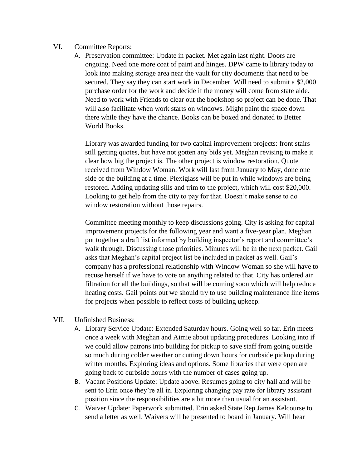## VI. Committee Reports:

A. Preservation committee: Update in packet. Met again last night. Doors are ongoing. Need one more coat of paint and hinges. DPW came to library today to look into making storage area near the vault for city documents that need to be secured. They say they can start work in December. Will need to submit a \$2,000 purchase order for the work and decide if the money will come from state aide. Need to work with Friends to clear out the bookshop so project can be done. That will also facilitate when work starts on windows. Might paint the space down there while they have the chance. Books can be boxed and donated to Better World Books.

Library was awarded funding for two capital improvement projects: front stairs – still getting quotes, but have not gotten any bids yet. Meghan revising to make it clear how big the project is. The other project is window restoration. Quote received from Window Woman. Work will last from January to May, done one side of the building at a time. Plexiglass will be put in while windows are being restored. Adding updating sills and trim to the project, which will cost \$20,000. Looking to get help from the city to pay for that. Doesn't make sense to do window restoration without those repairs.

Committee meeting monthly to keep discussions going. City is asking for capital improvement projects for the following year and want a five-year plan. Meghan put together a draft list informed by building inspector's report and committee's walk through. Discussing those priorities. Minutes will be in the next packet. Gail asks that Meghan's capital project list be included in packet as well. Gail's company has a professional relationship with Window Woman so she will have to recuse herself if we have to vote on anything related to that. City has ordered air filtration for all the buildings, so that will be coming soon which will help reduce heating costs. Gail points out we should try to use building maintenance line items for projects when possible to reflect costs of building upkeep.

- VII. Unfinished Business:
	- A. Library Service Update: Extended Saturday hours. Going well so far. Erin meets once a week with Meghan and Aimie about updating procedures. Looking into if we could allow patrons into building for pickup to save staff from going outside so much during colder weather or cutting down hours for curbside pickup during winter months. Exploring ideas and options. Some libraries that were open are going back to curbside hours with the number of cases going up.
	- B. Vacant Positions Update: Update above. Resumes going to city hall and will be sent to Erin once they're all in. Exploring changing pay rate for library assistant position since the responsibilities are a bit more than usual for an assistant.
	- C. Waiver Update: Paperwork submitted. Erin asked State Rep James Kelcourse to send a letter as well. Waivers will be presented to board in January. Will hear